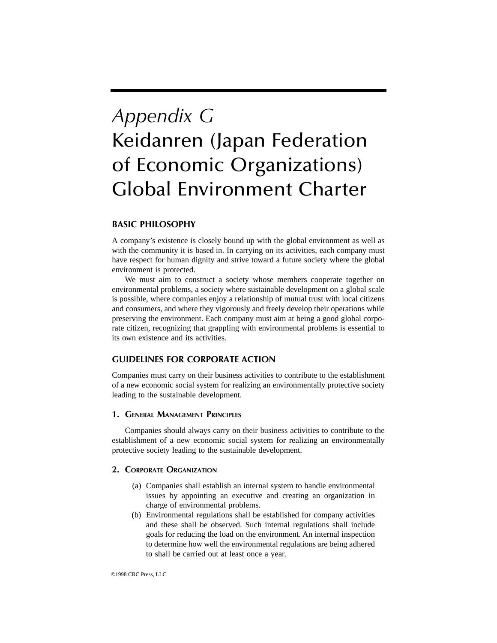# *Appendix G* Keidanren (Japan Federation of Economic Organizations) Global Environment Charter

## **BASIC PHILOSOPHY**

A company's existence is closely bound up with the global environment as well as with the community it is based in. In carrying on its activities, each company must have respect for human dignity and strive toward a future society where the global environment is protected.

We must aim to construct a society whose members cooperate together on environmental problems, a society where sustainable development on a global scale is possible, where companies enjoy a relationship of mutual trust with local citizens and consumers, and where they vigorously and freely develop their operations while preserving the environment. Each company must aim at being a good global corporate citizen, recognizing that grappling with environmental problems is essential to its own existence and its activities.

## **GUIDELINES FOR CORPORATE ACTION**

Companies must carry on their business activities to contribute to the establishment of a new economic social system for realizing an environmentally protective society leading to the sustainable development.

### **1. GENERAL MANAGEMENT PRINCIPLES**

Companies should always carry on their business activities to contribute to the establishment of a new economic social system for realizing an environmentally protective society leading to the sustainable development.

### **2. CORPORATE ORGANIZATION**

- (a) Companies shall establish an internal system to handle environmental issues by appointing an executive and creating an organization in charge of environmental problems.
- (b) Environmental regulations shall be established for company activities and these shall be observed. Such internal regulations shall include goals for reducing the load on the environment. An internal inspection to determine how well the environmental regulations are being adhered to shall be carried out at least once a year.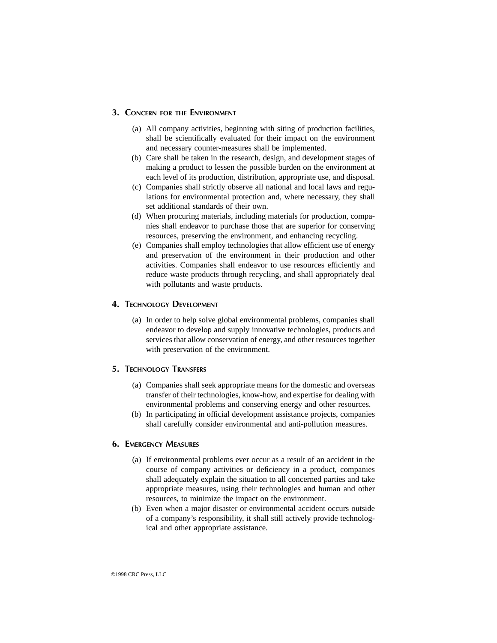#### **3. CONCERN FOR THE ENVIRONMENT**

- (a) All company activities, beginning with siting of production facilities, shall be scientifically evaluated for their impact on the environment and necessary counter-measures shall be implemented.
- (b) Care shall be taken in the research, design, and development stages of making a product to lessen the possible burden on the environment at each level of its production, distribution, appropriate use, and disposal.
- (c) Companies shall strictly observe all national and local laws and regulations for environmental protection and, where necessary, they shall set additional standards of their own.
- (d) When procuring materials, including materials for production, companies shall endeavor to purchase those that are superior for conserving resources, preserving the environment, and enhancing recycling.
- (e) Companies shall employ technologies that allow efficient use of energy and preservation of the environment in their production and other activities. Companies shall endeavor to use resources efficiently and reduce waste products through recycling, and shall appropriately deal with pollutants and waste products.

### **4. TECHNOLOGY DEVELOPMENT**

(a) In order to help solve global environmental problems, companies shall endeavor to develop and supply innovative technologies, products and services that allow conservation of energy, and other resources together with preservation of the environment.

### **5. TECHNOLOGY TRANSFERS**

- (a) Companies shall seek appropriate means for the domestic and overseas transfer of their technologies, know-how, and expertise for dealing with environmental problems and conserving energy and other resources.
- (b) In participating in official development assistance projects, companies shall carefully consider environmental and anti-pollution measures.

### **6. EMERGENCY MEASURES**

- (a) If environmental problems ever occur as a result of an accident in the course of company activities or deficiency in a product, companies shall adequately explain the situation to all concerned parties and take appropriate measures, using their technologies and human and other resources, to minimize the impact on the environment.
- (b) Even when a major disaster or environmental accident occurs outside of a company's responsibility, it shall still actively provide technological and other appropriate assistance.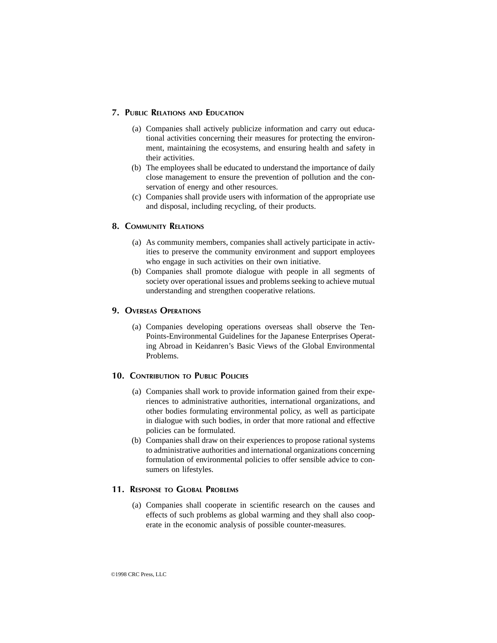### **7. PUBLIC RELATIONS AND EDUCATION**

- (a) Companies shall actively publicize information and carry out educational activities concerning their measures for protecting the environment, maintaining the ecosystems, and ensuring health and safety in their activities.
- (b) The employees shall be educated to understand the importance of daily close management to ensure the prevention of pollution and the conservation of energy and other resources.
- (c) Companies shall provide users with information of the appropriate use and disposal, including recycling, of their products.

### **8. COMMUNITY RELATIONS**

- (a) As community members, companies shall actively participate in activities to preserve the community environment and support employees who engage in such activities on their own initiative.
- (b) Companies shall promote dialogue with people in all segments of society over operational issues and problems seeking to achieve mutual understanding and strengthen cooperative relations.

#### **9. OVERSEAS OPERATIONS**

(a) Companies developing operations overseas shall observe the Ten-Points-Environmental Guidelines for the Japanese Enterprises Operating Abroad in Keidanren's Basic Views of the Global Environmental Problems.

#### **10. CONTRIBUTION TO PUBLIC POLICIES**

- (a) Companies shall work to provide information gained from their experiences to administrative authorities, international organizations, and other bodies formulating environmental policy, as well as participate in dialogue with such bodies, in order that more rational and effective policies can be formulated.
- (b) Companies shall draw on their experiences to propose rational systems to administrative authorities and international organizations concerning formulation of environmental policies to offer sensible advice to consumers on lifestyles.

### **11. RESPONSE TO GLOBAL PROBLEMS**

(a) Companies shall cooperate in scientific research on the causes and effects of such problems as global warming and they shall also cooperate in the economic analysis of possible counter-measures.